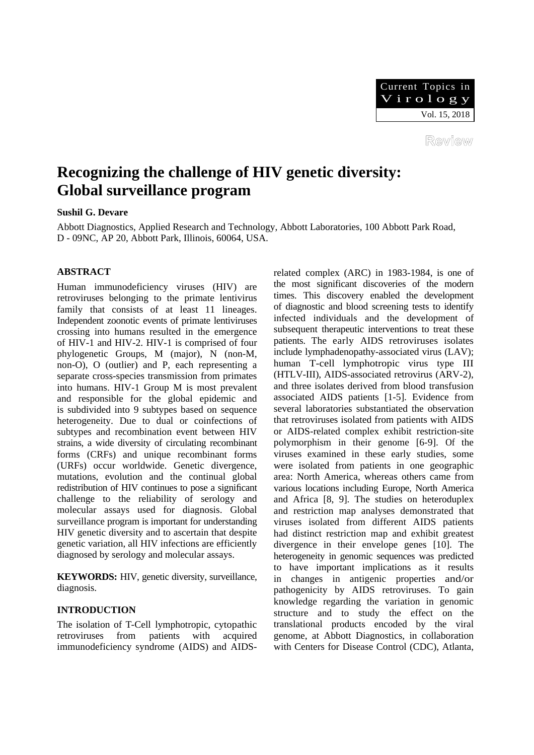

Review

# **Recognizing the challenge of HIV genetic diversity: Global surveillance program**

## **Sushil G. Devare**

Abbott Diagnostics, Applied Research and Technology, Abbott Laboratories, 100 Abbott Park Road, D - 09NC, AP 20, Abbott Park, Illinois, 60064, USA.

## **ABSTRACT**

Human immunodeficiency viruses (HIV) are retroviruses belonging to the primate lentivirus family that consists of at least 11 lineages. Independent zoonotic events of primate lentiviruses crossing into humans resulted in the emergence of HIV-1 and HIV-2. HIV-1 is comprised of four phylogenetic Groups, M (major), N (non-M, non-O), O (outlier) and P, each representing a separate cross-species transmission from primates into humans. HIV-1 Group M is most prevalent and responsible for the global epidemic and is subdivided into 9 subtypes based on sequence heterogeneity. Due to dual or coinfections of subtypes and recombination event between HIV strains, a wide diversity of circulating recombinant forms (CRFs) and unique recombinant forms (URFs) occur worldwide. Genetic divergence, mutations, evolution and the continual global redistribution of HIV continues to pose a significant challenge to the reliability of serology and molecular assays used for diagnosis. Global surveillance program is important for understanding HIV genetic diversity and to ascertain that despite genetic variation, all HIV infections are efficiently diagnosed by serology and molecular assays.

**KEYWORDS:** HIV, genetic diversity, surveillance, diagnosis.

## **INTRODUCTION**

The isolation of T-Cell lymphotropic, cytopathic retroviruses from patients with acquired immunodeficiency syndrome (AIDS) and AIDS- related complex (ARC) in 1983-1984, is one of the most significant discoveries of the modern times. This discovery enabled the development of diagnostic and blood screening tests to identify infected individuals and the development of subsequent therapeutic interventions to treat these patients. The early AIDS retroviruses isolates include lymphadenopathy-associated virus (LAV); human T-cell lymphotropic virus type III (HTLV-III), AIDS-associated retrovirus (ARV-2), and three isolates derived from blood transfusion associated AIDS patients [1-5]. Evidence from several laboratories substantiated the observation that retroviruses isolated from patients with AIDS or AIDS-related complex exhibit restriction-site polymorphism in their genome [6-9]. Of the viruses examined in these early studies, some were isolated from patients in one geographic area: North America, whereas others came from various locations including Europe, North America and Africa [8, 9]. The studies on heteroduplex and restriction map analyses demonstrated that viruses isolated from different AIDS patients had distinct restriction map and exhibit greatest divergence in their envelope genes [10]. The heterogeneity in genomic sequences was predicted to have important implications as it results in changes in antigenic properties and/or pathogenicity by AIDS retroviruses. To gain knowledge regarding the variation in genomic structure and to study the effect on the translational products encoded by the viral genome, at Abbott Diagnostics, in collaboration with Centers for Disease Control (CDC), Atlanta,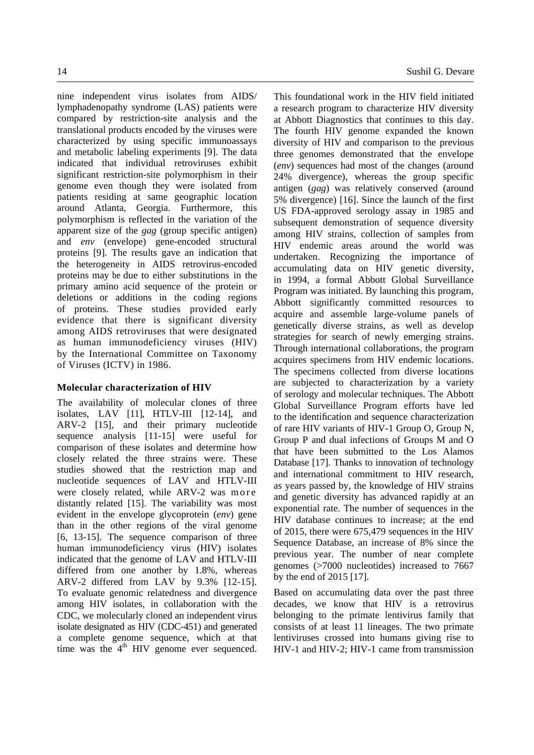nine independent virus isolates from AIDS/ lymphadenopathy syndrome (LAS) patients were compared by restriction-site analysis and the translational products encoded by the viruses were characterized by using specific immunoassays and metabolic labeling experiments [9]. The data indicated that individual retroviruses exhibit significant restriction-site polymorphism in their genome even though they were isolated from patients residing at same geographic location around Atlanta, Georgia. Furthermore, this polymorphism is reflected in the variation of the apparent size of the *gag* (group specific antigen) and *env* (envelope) gene-encoded structural proteins [9]. The results gave an indication that the heterogeneity in AIDS retrovirus-encoded proteins may be due to either substitutions in the primary amino acid sequence of the protein or deletions or additions in the coding regions of proteins. These studies provided early evidence that there is significant diversity among AIDS retroviruses that were designated as human immunodeficiency viruses (HIV) by the International Committee on Taxonomy of Viruses (ICTV) in 1986.

## **Molecular characterization of HIV**

The availability of molecular clones of three isolates, LAV [11], HTLV-III [12-14], and ARV-2 [15], and their primary nucleotide sequence analysis [11-15] were useful for comparison of these isolates and determine how closely related the three strains were. These studies showed that the restriction map and nucleotide sequences of LAV and HTLV-III were closely related, while ARV-2 was more distantly related [15]. The variability was most evident in the envelope glycoprotein (*env*) gene than in the other regions of the viral genome [6, 13-15]. The sequence comparison of three human immunodeficiency virus (HIV) isolates indicated that the genome of LAV and HTLV-III differed from one another by 1.8%, whereas ARV-2 differed from LAV by 9.3% [12-15]. To evaluate genomic relatedness and divergence among HIV isolates, in collaboration with the CDC, we molecularly cloned an independent virus isolate designated as HIV (CDC-451) and generated a complete genome sequence, which at that time was the  $4<sup>th</sup>$  HIV genome ever sequenced. This foundational work in the HIV field initiated a research program to characterize HIV diversity at Abbott Diagnostics that continues to this day. The fourth HIV genome expanded the known diversity of HIV and comparison to the previous three genomes demonstrated that the envelope (*env*) sequences had most of the changes (around 24% divergence), whereas the group specific antigen (*gag*) was relatively conserved (around 5% divergence) [16]. Since the launch of the first US FDA-approved serology assay in 1985 and subsequent demonstration of sequence diversity among HIV strains, collection of samples from HIV endemic areas around the world was undertaken. Recognizing the importance of accumulating data on HIV genetic diversity, in 1994, a formal Abbott Global Surveillance Program was initiated. By launching this program, Abbott significantly committed resources to acquire and assemble large-volume panels of genetically diverse strains, as well as develop strategies for search of newly emerging strains. Through international collaborations, the program acquires specimens from HIV endemic locations. The specimens collected from diverse locations are subjected to characterization by a variety of serology and molecular techniques. The Abbott Global Surveillance Program efforts have led to the identification and sequence characterization of rare HIV variants of HIV-1 Group O, Group N, Group P and dual infections of Groups M and O that have been submitted to the Los Alamos Database [17]. Thanks to innovation of technology and international commitment to HIV research, as years passed by, the knowledge of HIV strains and genetic diversity has advanced rapidly at an exponential rate. The number of sequences in the HIV database continues to increase; at the end of 2015, there were 675,479 sequences in the HIV Sequence Database, an increase of 8% since the previous year. The number of near complete genomes (>7000 nucleotides) increased to 7667 by the end of 2015 [17].

Based on accumulating data over the past three decades, we know that HIV is a retrovirus belonging to the primate lentivirus family that consists of at least 11 lineages. The two primate lentiviruses crossed into humans giving rise to HIV-1 and HIV-2; HIV-1 came from transmission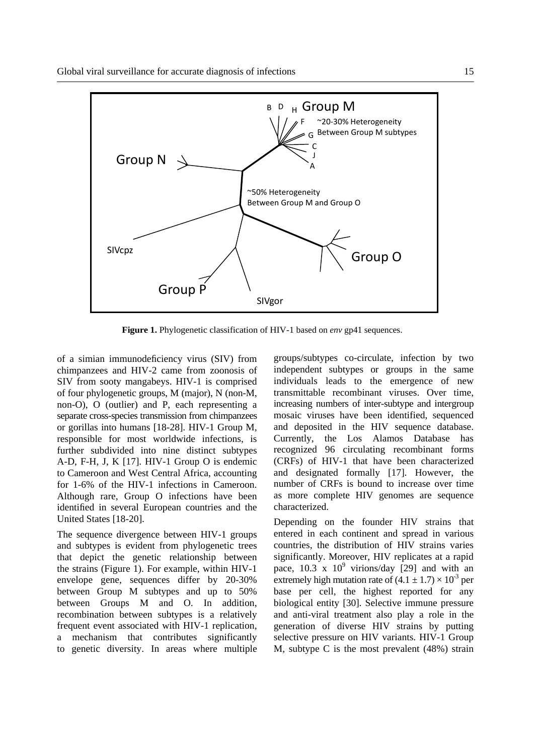

**Figure 1.** Phylogenetic classification of HIV-1 based on *env* gp41 sequences.

of a simian immunodeficiency virus (SIV) from chimpanzees and HIV-2 came from zoonosis of SIV from sooty mangabeys. HIV-1 is comprised of four phylogenetic groups, M (major), N (non-M, non-O), O (outlier) and P, each representing a separate cross-species transmission from chimpanzees or gorillas into humans [18-28]. HIV-1 Group M, responsible for most worldwide infections, is further subdivided into nine distinct subtypes A-D, F-H, J, K [17]. HIV-1 Group O is endemic to Cameroon and West Central Africa, accounting for 1-6% of the HIV-1 infections in Cameroon. Although rare, Group O infections have been identified in several European countries and the United States [18-20].

The sequence divergence between HIV-1 groups and subtypes is evident from phylogenetic trees that depict the genetic relationship between the strains (Figure 1). For example, within HIV-1 envelope gene, sequences differ by 20-30% between Group M subtypes and up to 50% between Groups M and O. In addition, recombination between subtypes is a relatively frequent event associated with HIV-1 replication, a mechanism that contributes significantly to genetic diversity. In areas where multiple groups/subtypes co-circulate, infection by two independent subtypes or groups in the same individuals leads to the emergence of new transmittable recombinant viruses. Over time, increasing numbers of inter-subtype and intergroup mosaic viruses have been identified, sequenced and deposited in the HIV sequence database. Currently, the Los Alamos Database has recognized 96 circulating recombinant forms (CRFs) of HIV-1 that have been characterized and designated formally [17]. However, the number of CRFs is bound to increase over time as more complete HIV genomes are sequence characterized.

Depending on the founder HIV strains that entered in each continent and spread in various countries, the distribution of HIV strains varies significantly. Moreover, HIV replicates at a rapid pace,  $10.3 \times 10^9$  virions/day [29] and with an extremely high mutation rate of  $(4.1 \pm 1.7) \times 10^{-3}$  per base per cell, the highest reported for any biological entity [30]. Selective immune pressure and anti-viral treatment also play a role in the generation of diverse HIV strains by putting selective pressure on HIV variants. HIV-1 Group M, subtype C is the most prevalent (48%) strain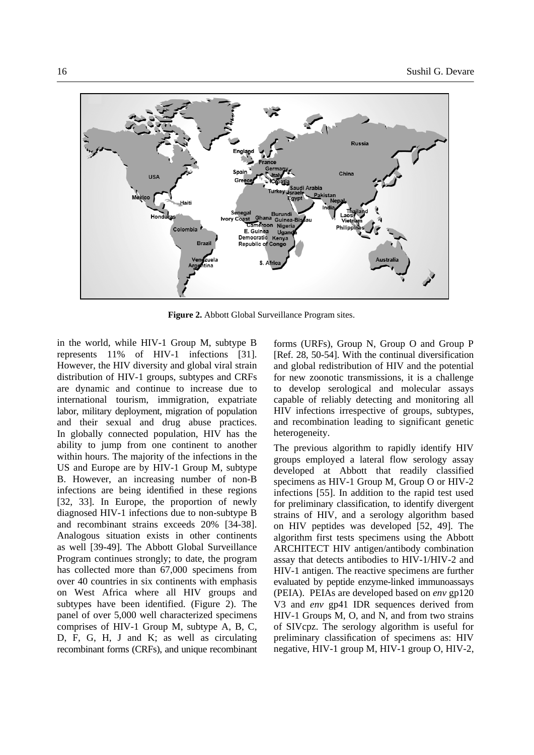

**Figure 2.** Abbott Global Surveillance Program sites.

in the world, while HIV-1 Group M, subtype B represents 11% of HIV-1 infections [31]. However, the HIV diversity and global viral strain distribution of HIV-1 groups, subtypes and CRFs are dynamic and continue to increase due to international tourism, immigration, expatriate labor, military deployment, migration of population and their sexual and drug abuse practices. In globally connected population, HIV has the ability to jump from one continent to another within hours. The majority of the infections in the US and Europe are by HIV-1 Group M, subtype B. However, an increasing number of non-B infections are being identified in these regions [32, 33]. In Europe, the proportion of newly diagnosed HIV-1 infections due to non-subtype B and recombinant strains exceeds 20% [34-38]. Analogous situation exists in other continents as well [39-49]. The Abbott Global Surveillance Program continues strongly; to date, the program has collected more than 67,000 specimens from over 40 countries in six continents with emphasis on West Africa where all HIV groups and subtypes have been identified. (Figure 2). The panel of over 5,000 well characterized specimens comprises of HIV-1 Group M, subtype A, B, C, D, F, G, H, J and K; as well as circulating recombinant forms (CRFs), and unique recombinant forms (URFs), Group N, Group O and Group P [Ref. 28, 50-54]. With the continual diversification and global redistribution of HIV and the potential for new zoonotic transmissions, it is a challenge to develop serological and molecular assays capable of reliably detecting and monitoring all HIV infections irrespective of groups, subtypes, and recombination leading to significant genetic heterogeneity.

The previous algorithm to rapidly identify HIV groups employed a lateral flow serology assay developed at Abbott that readily classified specimens as HIV-1 Group M, Group O or HIV-2 infections [55]. In addition to the rapid test used for preliminary classification, to identify divergent strains of HIV, and a serology algorithm based on HIV peptides was developed [52, 49]. The algorithm first tests specimens using the Abbott ARCHITECT HIV antigen/antibody combination assay that detects antibodies to HIV-1/HIV-2 and HIV-1 antigen. The reactive specimens are further evaluated by peptide enzyme-linked immunoassays (PEIA). PEIAs are developed based on *env* gp120 V3 and *env* gp41 IDR sequences derived from HIV-1 Groups M, O, and N, and from two strains of SIVcpz. The serology algorithm is useful for preliminary classification of specimens as: HIV negative, HIV-1 group M, HIV-1 group O, HIV-2,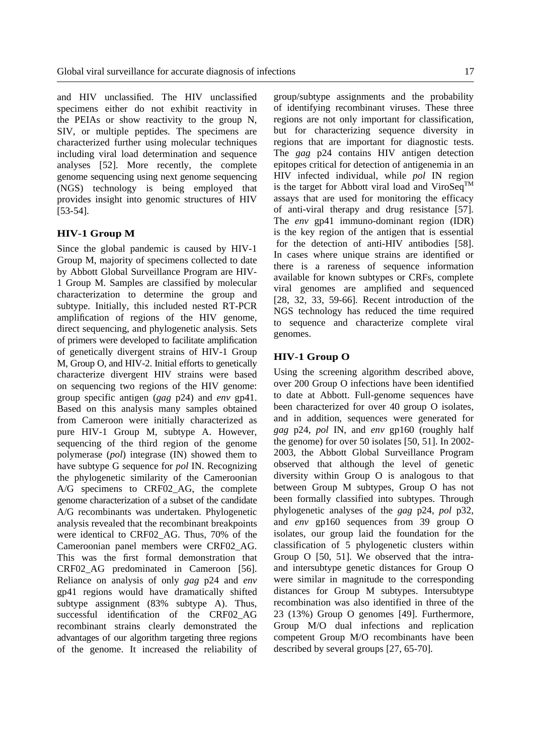and HIV unclassified. The HIV unclassified specimens either do not exhibit reactivity in the PEIAs or show reactivity to the group N, SIV, or multiple peptides. The specimens are characterized further using molecular techniques including viral load determination and sequence analyses [52]. More recently, the complete genome sequencing using next genome sequencing (NGS) technology is being employed that provides insight into genomic structures of HIV [53-54].

## **HIV-1 Group M**

Since the global pandemic is caused by HIV-1 Group M, majority of specimens collected to date by Abbott Global Surveillance Program are HIV-1 Group M. Samples are classified by molecular characterization to determine the group and subtype. Initially, this included nested RT-PCR amplification of regions of the HIV genome, direct sequencing, and phylogenetic analysis. Sets of primers were developed to facilitate amplification of genetically divergent strains of HIV-1 Group M, Group O, and HIV-2. Initial efforts to genetically characterize divergent HIV strains were based on sequencing two regions of the HIV genome: group specific antigen (*gag* p24) and *env* gp41. Based on this analysis many samples obtained from Cameroon were initially characterized as pure HIV-1 Group M, subtype A. However, sequencing of the third region of the genome polymerase (*pol*) integrase (IN) showed them to have subtype G sequence for *pol* IN. Recognizing the phylogenetic similarity of the Cameroonian A/G specimens to CRF02\_AG, the complete genome characterization of a subset of the candidate A/G recombinants was undertaken. Phylogenetic analysis revealed that the recombinant breakpoints were identical to CRF02\_AG. Thus, 70% of the Cameroonian panel members were CRF02\_AG. This was the first formal demonstration that CRF02\_AG predominated in Cameroon [56]. Reliance on analysis of only *gag* p24 and *env* gp41 regions would have dramatically shifted subtype assignment (83% subtype A). Thus, successful identification of the CRF02\_AG recombinant strains clearly demonstrated the advantages of our algorithm targeting three regions of the genome. It increased the reliability of group/subtype assignments and the probability of identifying recombinant viruses. These three regions are not only important for classification, but for characterizing sequence diversity in regions that are important for diagnostic tests. The *gag* p24 contains HIV antigen detection epitopes critical for detection of antigenemia in an HIV infected individual, while *pol* IN region is the target for Abbott viral load and ViroSeq<sup>TM</sup> assays that are used for monitoring the efficacy of anti-viral therapy and drug resistance [57]. The *env* gp41 immuno-dominant region (IDR) is the key region of the antigen that is essential for the detection of anti-HIV antibodies [58]. In cases where unique strains are identified or there is a rareness of sequence information available for known subtypes or CRFs, complete viral genomes are amplified and sequenced [28, 32, 33, 59-66]. Recent introduction of the NGS technology has reduced the time required to sequence and characterize complete viral genomes.

## **HIV-1 Group O**

Using the screening algorithm described above, over 200 Group O infections have been identified to date at Abbott. Full-genome sequences have been characterized for over 40 group O isolates, and in addition, sequences were generated for *gag* p24, *pol* IN, and *env* gp160 (roughly half the genome) for over 50 isolates [50, 51]. In 2002- 2003, the Abbott Global Surveillance Program observed that although the level of genetic diversity within Group O is analogous to that between Group M subtypes, Group O has not been formally classified into subtypes. Through phylogenetic analyses of the *gag* p24, *pol* p32, and *env* gp160 sequences from 39 group O isolates, our group laid the foundation for the classification of 5 phylogenetic clusters within Group O [50, 51]. We observed that the intraand intersubtype genetic distances for Group O were similar in magnitude to the corresponding distances for Group M subtypes. Intersubtype recombination was also identified in three of the 23 (13%) Group O genomes [49]. Furthermore, Group M/O dual infections and replication competent Group M/O recombinants have been described by several groups [27, 65-70].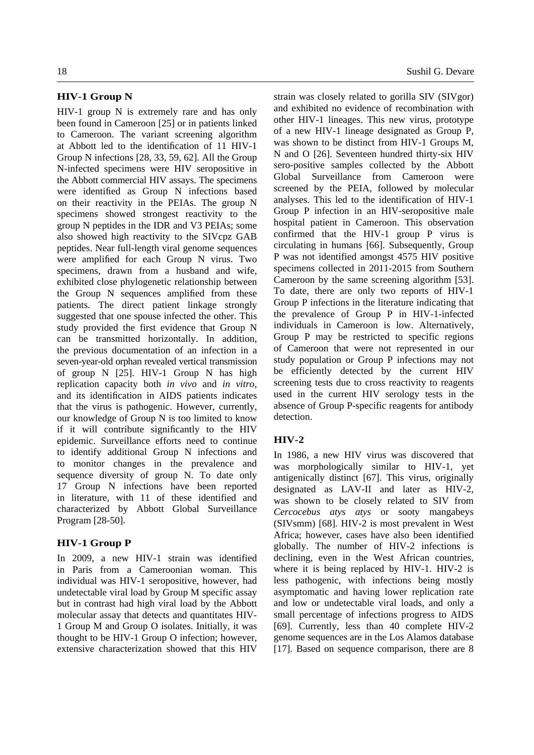#### **HIV-1 Group N**

HIV-1 group N is extremely rare and has only been found in Cameroon [25] or in patients linked to Cameroon. The variant screening algorithm at Abbott led to the identification of 11 HIV-1 Group N infections [28, 33, 59, 62]. All the Group N-infected specimens were HIV seropositive in the Abbott commercial HIV assays. The specimens were identified as Group N infections based on their reactivity in the PEIAs. The group N specimens showed strongest reactivity to the group N peptides in the IDR and V3 PEIAs; some also showed high reactivity to the SIVcpz GAB peptides. Near full-length viral genome sequences were amplified for each Group N virus. Two specimens, drawn from a husband and wife, exhibited close phylogenetic relationship between the Group N sequences amplified from these patients. The direct patient linkage strongly suggested that one spouse infected the other. This study provided the first evidence that Group N can be transmitted horizontally. In addition, the previous documentation of an infection in a seven-year-old orphan revealed vertical transmission of group N [25]. HIV-1 Group N has high replication capacity both *in vivo* and *in vitro*, and its identification in AIDS patients indicates that the virus is pathogenic. However, currently, our knowledge of Group N is too limited to know if it will contribute significantly to the HIV epidemic. Surveillance efforts need to continue to identify additional Group N infections and to monitor changes in the prevalence and sequence diversity of group N. To date only 17 Group N infections have been reported in literature, with 11 of these identified and characterized by Abbott Global Surveillance Program [28-50].

### **HIV-1 Group P**

In 2009, a new HIV-1 strain was identified in Paris from a Cameroonian woman. This individual was HIV-1 seropositive, however, had undetectable viral load by Group M specific assay but in contrast had high viral load by the Abbott molecular assay that detects and quantitates HIV-1 Group M and Group O isolates. Initially, it was thought to be HIV-1 Group O infection; however, extensive characterization showed that this HIV

18 Sushil G. Devare

strain was closely related to gorilla SIV (SIVgor) and exhibited no evidence of recombination with other HIV-1 lineages. This new virus, prototype of a new HIV-1 lineage designated as Group P, was shown to be distinct from HIV-1 Groups M, N and O [26]. Seventeen hundred thirty-six HIV sero-positive samples collected by the Abbott Global Surveillance from Cameroon were screened by the PEIA, followed by molecular analyses. This led to the identification of HIV-1 Group P infection in an HIV-seropositive male hospital patient in Cameroon. This observation confirmed that the HIV-1 group P virus is circulating in humans [66]. Subsequently, Group P was not identified amongst 4575 HIV positive specimens collected in 2011-2015 from Southern Cameroon by the same screening algorithm [53]. To date, there are only two reports of HIV-1 Group P infections in the literature indicating that the prevalence of Group P in HIV-1-infected individuals in Cameroon is low. Alternatively, Group P may be restricted to specific regions of Cameroon that were not represented in our study population or Group P infections may not be efficiently detected by the current HIV screening tests due to cross reactivity to reagents used in the current HIV serology tests in the absence of Group P-specific reagents for antibody detection.

# **HIV-2**

In 1986, a new HIV virus was discovered that was morphologically similar to HIV-1, yet antigenically distinct [67]. This virus, originally designated as LAV-II and later as HIV-2, was shown to be closely related to SIV from *Cercocebus atys atys* or sooty mangabeys (SIVsmm) [68]. HIV-2 is most prevalent in West Africa; however, cases have also been identified globally. The number of HIV-2 infections is declining, even in the West African countries, where it is being replaced by HIV-1. HIV-2 is less pathogenic, with infections being mostly asymptomatic and having lower replication rate and low or undetectable viral loads, and only a small percentage of infections progress to AIDS [69]. Currently, less than 40 complete HIV-2 genome sequences are in the Los Alamos database [17]. Based on sequence comparison, there are 8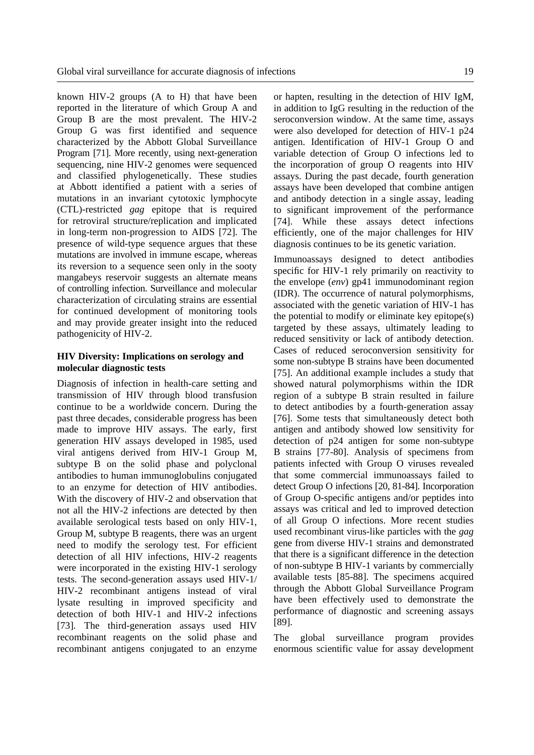known HIV-2 groups (A to H) that have been reported in the literature of which Group A and Group B are the most prevalent. The HIV-2 Group G was first identified and sequence characterized by the Abbott Global Surveillance Program [71]. More recently, using next-generation sequencing, nine HIV-2 genomes were sequenced and classified phylogenetically. These studies at Abbott identified a patient with a series of mutations in an invariant cytotoxic lymphocyte (CTL)-restricted *gag* epitope that is required for retroviral structure/replication and implicated in long-term non-progression to AIDS [72]. The presence of wild-type sequence argues that these mutations are involved in immune escape, whereas its reversion to a sequence seen only in the sooty mangabeys reservoir suggests an alternate means of controlling infection. Surveillance and molecular characterization of circulating strains are essential for continued development of monitoring tools and may provide greater insight into the reduced pathogenicity of HIV-2.

## **HIV Diversity: Implications on serology and molecular diagnostic tests**

Diagnosis of infection in health-care setting and transmission of HIV through blood transfusion continue to be a worldwide concern. During the past three decades, considerable progress has been made to improve HIV assays. The early, first generation HIV assays developed in 1985, used viral antigens derived from HIV-1 Group M, subtype B on the solid phase and polyclonal antibodies to human immunoglobulins conjugated to an enzyme for detection of HIV antibodies. With the discovery of HIV-2 and observation that not all the HIV-2 infections are detected by then available serological tests based on only HIV-1, Group M, subtype B reagents, there was an urgent need to modify the serology test. For efficient detection of all HIV infections, HIV-2 reagents were incorporated in the existing HIV-1 serology tests. The second-generation assays used HIV-1/ HIV-2 recombinant antigens instead of viral lysate resulting in improved specificity and detection of both HIV-1 and HIV-2 infections [73]. The third-generation assays used HIV recombinant reagents on the solid phase and recombinant antigens conjugated to an enzyme or hapten, resulting in the detection of HIV IgM, in addition to IgG resulting in the reduction of the seroconversion window. At the same time, assays were also developed for detection of HIV-1 p24 antigen. Identification of HIV-1 Group O and variable detection of Group O infections led to the incorporation of group O reagents into HIV assays. During the past decade, fourth generation assays have been developed that combine antigen and antibody detection in a single assay, leading to significant improvement of the performance [74]. While these assays detect infections efficiently, one of the major challenges for HIV diagnosis continues to be its genetic variation.

Immunoassays designed to detect antibodies specific for HIV-1 rely primarily on reactivity to the envelope (*env*) gp41 immunodominant region (IDR). The occurrence of natural polymorphisms, associated with the genetic variation of HIV-1 has the potential to modify or eliminate key epitope(s) targeted by these assays, ultimately leading to reduced sensitivity or lack of antibody detection. Cases of reduced seroconversion sensitivity for some non-subtype B strains have been documented [75]. An additional example includes a study that showed natural polymorphisms within the IDR region of a subtype B strain resulted in failure to detect antibodies by a fourth-generation assay [76]. Some tests that simultaneously detect both antigen and antibody showed low sensitivity for detection of p24 antigen for some non-subtype B strains [77-80]. Analysis of specimens from patients infected with Group O viruses revealed that some commercial immunoassays failed to detect Group O infections [20, 81-84]. Incorporation of Group O-specific antigens and/or peptides into assays was critical and led to improved detection of all Group O infections. More recent studies used recombinant virus-like particles with the *gag* gene from diverse HIV-1 strains and demonstrated that there is a significant difference in the detection of non-subtype B HIV-1 variants by commercially available tests [85-88]. The specimens acquired through the Abbott Global Surveillance Program have been effectively used to demonstrate the performance of diagnostic and screening assays [89].

The global surveillance program provides enormous scientific value for assay development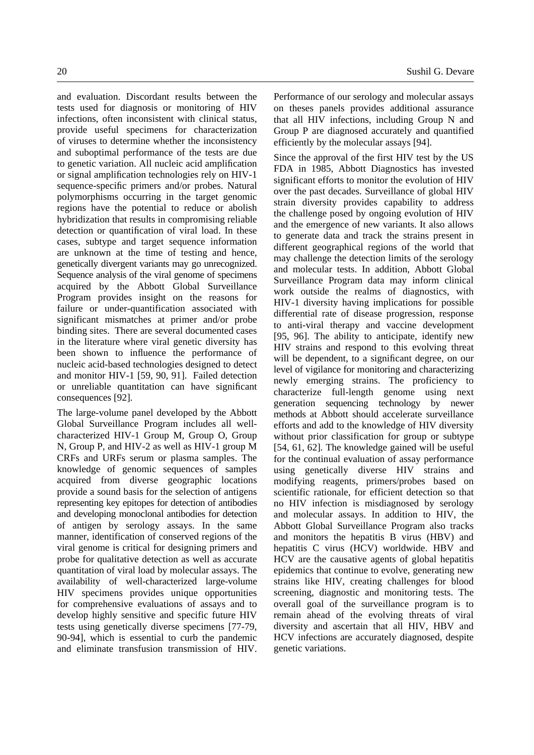efficiently by the molecular assays [94].

tests used for diagnosis or monitoring of HIV infections, often inconsistent with clinical status, provide useful specimens for characterization of viruses to determine whether the inconsistency and suboptimal performance of the tests are due to genetic variation. All nucleic acid amplification or signal amplification technologies rely on HIV-1 sequence-specific primers and/or probes. Natural polymorphisms occurring in the target genomic regions have the potential to reduce or abolish hybridization that results in compromising reliable detection or quantification of viral load. In these cases, subtype and target sequence information are unknown at the time of testing and hence, genetically divergent variants may go unrecognized. Sequence analysis of the viral genome of specimens acquired by the Abbott Global Surveillance Program provides insight on the reasons for failure or under-quantification associated with significant mismatches at primer and/or probe binding sites. There are several documented cases in the literature where viral genetic diversity has been shown to influence the performance of nucleic acid-based technologies designed to detect and monitor HIV-1 [59, 90, 91]. Failed detection or unreliable quantitation can have significant consequences [92].

and evaluation. Discordant results between the

The large-volume panel developed by the Abbott Global Surveillance Program includes all wellcharacterized HIV-1 Group M, Group O, Group N, Group P, and HIV-2 as well as HIV-1 group M CRFs and URFs serum or plasma samples. The knowledge of genomic sequences of samples acquired from diverse geographic locations provide a sound basis for the selection of antigens representing key epitopes for detection of antibodies and developing monoclonal antibodies for detection of antigen by serology assays. In the same manner, identification of conserved regions of the viral genome is critical for designing primers and probe for qualitative detection as well as accurate quantitation of viral load by molecular assays. The availability of well-characterized large-volume HIV specimens provides unique opportunities for comprehensive evaluations of assays and to develop highly sensitive and specific future HIV tests using genetically diverse specimens [77-79, 90-94], which is essential to curb the pandemic and eliminate transfusion transmission of HIV. Since the approval of the first HIV test by the US FDA in 1985, Abbott Diagnostics has invested significant efforts to monitor the evolution of HIV over the past decades. Surveillance of global HIV strain diversity provides capability to address the challenge posed by ongoing evolution of HIV and the emergence of new variants. It also allows to generate data and track the strains present in different geographical regions of the world that may challenge the detection limits of the serology and molecular tests. In addition, Abbott Global Surveillance Program data may inform clinical work outside the realms of diagnostics, with HIV-1 diversity having implications for possible differential rate of disease progression, response to anti-viral therapy and vaccine development [95, 96]. The ability to anticipate, identify new HIV strains and respond to this evolving threat will be dependent, to a significant degree, on our level of vigilance for monitoring and characterizing newly emerging strains. The proficiency to characterize full-length genome using next generation sequencing technology by newer methods at Abbott should accelerate surveillance efforts and add to the knowledge of HIV diversity without prior classification for group or subtype [54, 61, 62]. The knowledge gained will be useful for the continual evaluation of assay performance using genetically diverse HIV strains and modifying reagents, primers/probes based on scientific rationale, for efficient detection so that no HIV infection is misdiagnosed by serology and molecular assays. In addition to HIV, the Abbott Global Surveillance Program also tracks and monitors the hepatitis B virus (HBV) and hepatitis C virus (HCV) worldwide. HBV and HCV are the causative agents of global hepatitis epidemics that continue to evolve, generating new strains like HIV, creating challenges for blood screening, diagnostic and monitoring tests. The overall goal of the surveillance program is to remain ahead of the evolving threats of viral diversity and ascertain that all HIV, HBV and HCV infections are accurately diagnosed, despite genetic variations.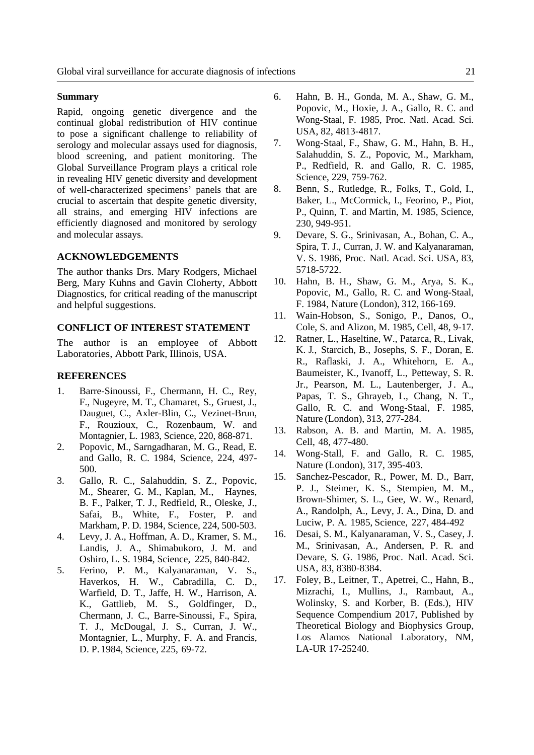### **Summary**

Rapid, ongoing genetic divergence and the continual global redistribution of HIV continue to pose a significant challenge to reliability of serology and molecular assays used for diagnosis, blood screening, and patient monitoring. The Global Surveillance Program plays a critical role in revealing HIV genetic diversity and development of well-characterized specimens' panels that are crucial to ascertain that despite genetic diversity, all strains, and emerging HIV infections are efficiently diagnosed and monitored by serology and molecular assays.

#### **ACKNOWLEDGEMENTS**

The author thanks Drs. Mary Rodgers, Michael Berg, Mary Kuhns and Gavin Cloherty, Abbott Diagnostics, for critical reading of the manuscript and helpful suggestions.

### **CONFLICT OF INTEREST STATEMENT**

The author is an employee of Abbott Laboratories, Abbott Park, Illinois, USA.

#### **REFERENCES**

- 1. Barre-Sinoussi, F., Chermann, H. C., Rey, F., Nugeyre, M. T., Chamaret, S., Gruest, J., Dauguet, C., Axler-Blin, C., Vezinet-Brun, F., Rouzioux, C., Rozenbaum, W. and Montagnier, L. 1983, Science, 220, 868-871.
- 2. Popovic, M., Sarngadharan, M. G., Read, E. and Gallo, R. C. 1984, Science, 224, 497- 500.
- 3. Gallo, R. C., Salahuddin, S. Z., Popovic, M., Shearer, G. M., Kaplan, M., Haynes, B. F., Palker, T. J., Redfield, R., Oleske, J., Safai, B., White, F., Foster, P. and Markham, P. D. 1984, Science, 224, 500-503.
- 4. Levy, J. A., Hoffman, A. D., Kramer, S. M., Landis, J. A., Shimabukoro, J. M. and Oshiro, L. S. 1984, Science, 225, 840-842.
- 5. Ferino, P. M., Kalyanaraman, V. S., Haverkos, H. W., Cabradilla, C. D., Warfield, D. T., Jaffe, H. W., Harrison, A. K., Gattlieb, M. S., Goldfinger, D., Chermann, J. C., Barre-Sinoussi, F., Spira, T. J., McDougal, J. S., Curran, J. W., Montagnier, L., Murphy, F. A. and Francis, D. P. 1984, Science, 225, 69-72.
- 6. Hahn, B. H., Gonda, M. A., Shaw, G. M., Popovic, M., Hoxie, J. A., Gallo, R. C. and Wong-Staal, F. 1985, Proc. Natl. Acad. Sci. USA, 82, 4813-4817.
- 7. Wong-Staal, F., Shaw, G. M., Hahn, B. H., Salahuddin, S. Z., Popovic, M., Markham, P., Redfield, R. and Gallo, R. C. 1985, Science, 229, 759-762.
- 8. Benn, S., Rutledge, R., Folks, T., Gold, I., Baker, L., McCormick, I., Feorino, P., Piot, P., Quinn, T. and Martin, M. 1985, Science, 230, 949-951.
- 9. Devare, S. G., Srinivasan, A., Bohan, C. A., Spira, T. J., Curran, J. W. and Kalyanaraman, V. S. 1986, Proc. Natl. Acad. Sci. USA, 83, 5718-5722.
- 10. Hahn, B. H., Shaw, G. M., Arya, S. K., Popovic, M., Gallo, R. C. and Wong-Staal, F. 1984, Nature (London), 312, 166-169.
- 11. Wain-Hobson, S., Sonigo, P., Danos, O., Cole, S. and Alizon, M. 1985, Cell, 48, 9-17.
- 12. Ratner, L., Haseltine, W., Patarca, R., Livak, K. J*.*, Starcich, B., Josephs, S. F., Doran, E. R., Raflaski, J. A., Whitehorn, E. A., Baumeister, K., Ivanoff, L., Petteway, S. R. Jr., Pearson, M. L., Lautenberger, J. A., Papas, T. S., Ghrayeb, I., Chang, N. T., Gallo, R. C. and Wong-Staal, F. 1985, Nature (London), 313, 277-284.
- 13. Rabson, A. B. and Martin, M. A. 1985, Cell, 48, 477-480.
- 14. Wong-Stall, F. and Gallo, R. C. 1985, Nature (London), 317, 395-403.
- 15. Sanchez-Pescador, R., Power, M. D., Barr, P. J., Steimer, K. S., Stempien, M. M., Brown-Shimer, S. L., Gee, W. W., Renard, A., Randolph, A., Levy, J. A., Dina, D. and Luciw, P. A. 1985, Science, 227, 484-492
- 16. Desai, S. M., Kalyanaraman, V. S., Casey, J. M., Srinivasan, A., Andersen, P. R. and Devare, S. G. 1986, Proc. Natl. Acad. Sci. USA, 83, 8380-8384.
- 17. Foley, B., Leitner, T., Apetrei, C., Hahn, B., Mizrachi, I., Mullins, J., Rambaut, A., Wolinsky, S. and Korber, B. (Eds.), HIV Sequence Compendium 2017, Published by Theoretical Biology and Biophysics Group, Los Alamos National Laboratory, NM, LA-UR 17-25240.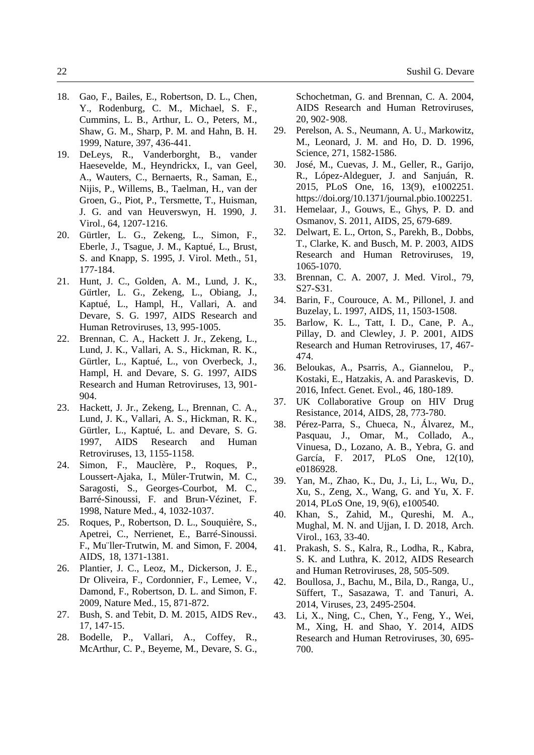- 18. Gao, F., Bailes, E., Robertson, D. L., Chen, Y., Rodenburg, C. M., Michael, S. F., Cummins, L. B., Arthur, L. O., Peters, M., Shaw, G. M., Sharp, P. M. and Hahn, B. H. 1999, Nature, 397, 436-441.
- 19. DeLeys, R., Vanderborght, B., vander Haesevelde, M., Heyndrickx, I., van Geel, A., Wauters, C., Bernaerts, R., Saman, E., Nijis, P., Willems, B., Taelman, H., van der Groen, G., Piot, P., Tersmette, T., Huisman, J. G. and van Heuverswyn, H. 1990, J. Virol., 64, 1207-1216.
- 20. Gürtler, L. G., Zekeng, L., Simon, F., Eberle, J., Tsague, J. M., Kaptué, L., Brust, S. and Knapp, S. 1995, J. Virol. Meth., 51, 177-184.
- 21. Hunt, J. C., Golden, A. M., Lund, J. K., Gürtler, L. G., Zekeng, L., Obiang, J., Kaptué, L., Hampl, H., Vallari, A. and Devare, S. G. 1997, AIDS Research and Human Retroviruses, 13, 995-1005.
- 22. Brennan, C. A., Hackett J. Jr., Zekeng, L., Lund, J. K., Vallari, A. S., Hickman, R. K., Gürtler, L., Kaptué, L., von Overbeck, J., Hampl, H. and Devare, S. G. 1997, AIDS Research and Human Retroviruses, 13, 901- 904.
- 23. Hackett, J. Jr., Zekeng, L., Brennan, C. A., Lund, J. K., Vallari, A. S., Hickman, R. K., Gürtler, L., Kaptué, L. and Devare, S. G. 1997, AIDS Research and Human Retroviruses, 13, 1155-1158.
- 24. Simon, F., Mauclère, P., Roques, P., Loussert-Ajaka, I., Müler-Trutwin, M. C., Saragosti, S., Georges-Courbot, M. C., Barré-Sinoussi, F. and Brun-Vézinet, F. 1998, Nature Med., 4, 1032-1037.
- 25. Roques, P., Robertson, D. L., Souquière, S., Apetrei, C., Nerrienet, E., Barré-Sinoussi. F., Mu¨ller-Trutwin, M. and Simon, F. 2004, AIDS, 18, 1371-1381.
- 26. Plantier, J. C., Leoz, M., Dickerson, J. E., Dr Oliveira, F., Cordonnier, F., Lemee, V., Damond, F., Robertson, D. L. and Simon, F. 2009, Nature Med., 15, 871-872.
- 27. Bush, S. and Tebit, D. M. 2015, AIDS Rev., 17, 147-15.
- 28. Bodelle, P., Vallari, A., Coffey, R., McArthur, C. P., Beyeme, M., Devare, S. G.,

 Schochetman, G. and Brennan, C. A. 2004, AIDS Research and Human Retroviruses, 20, 902- 908.

- 29. Perelson, A. S., Neumann, A. U., Markowitz, M., Leonard, J. M. and Ho, D. D. 1996, Science, 271, 1582-1586.
- 30. José, M., Cuevas, J. M., Geller, R., Garijo, R., López-Aldeguer, J. and Sanjuán, R. 2015, PLoS One, 16, 13(9), e1002251. https://doi.org/10.1371/journal.pbio.1002251.
- 31. Hemelaar, J., Gouws, E., Ghys, P. D. and Osmanov, S. 2011, AIDS, 25, 679-689.
- 32. Delwart, E. L., Orton, S., Parekh, B., Dobbs, T., Clarke, K. and Busch, M. P. 2003, AIDS Research and Human Retroviruses, 19, 1065-1070.
- 33. Brennan, C. A. 2007, J. Med. Virol., 79, S27-S31.
- 34. Barin, F., Courouce, A. M., Pillonel, J. and Buzelay, L. 1997, AIDS, 11, 1503-1508.
- 35. Barlow, K. L., Tatt, I. D., Cane, P. A., Pillay, D. and Clewley, J. P. 2001, AIDS Research and Human Retroviruses, 17, 467- 474.
- 36. Beloukas, A., Psarris, A., Giannelou, P., Kostaki, E., Hatzakis, A. and Paraskevis, D. 2016, Infect. Genet. Evol., 46, 180-189.
- 37. UK Collaborative Group on HIV Drug Resistance, 2014, AIDS, 28, 773-780.
- 38. Pérez-Parra, S., Chueca, N., Álvarez, M., Pasquau, J., Omar, M., Collado, A., Vinuesa, D., Lozano, A. B., Yebra, G. and García, F. 2017, PLoS One, 12(10), e0186928.
- 39. Yan, M., Zhao, K., Du, J., Li, L., Wu, D., Xu, S., Zeng, X., Wang, G. and Yu, X. F. 2014, PLoS One, 19, 9(6), e100540.
- 40. Khan, S., Zahid, M., Qureshi, M. A., Mughal, M. N. and Ujjan, I. D. 2018, Arch. Virol., 163, 33-40.
- 41. Prakash, S. S., Kalra, R., Lodha, R., Kabra, S. K. and Luthra, K. 2012, AIDS Research and Human Retroviruses, 28, 505-509.
- 42. Boullosa, J., Bachu, M., Bila, D., Ranga, U., Süffert, T., Sasazawa, T. and Tanuri, A. 2014, Viruses, 23, 2495-2504.
- 43. Li, X., Ning, C., Chen, Y., Feng, Y., Wei, M., Xing, H. and Shao, Y. 2014, AIDS Research and Human Retroviruses, 30, 695- 700.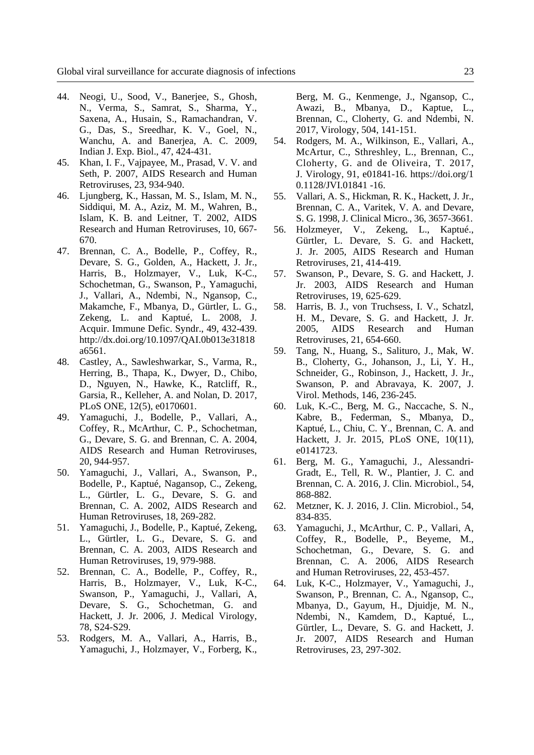- 44. Neogi, U., Sood, V., Banerjee, S., Ghosh, N., Verma, S., Samrat, S., Sharma, Y., Saxena, A., Husain, S., Ramachandran, V. G., Das, S., Sreedhar, K. V., Goel, N., Wanchu, A. and Banerjea, A. C. 2009, Indian J. Exp. Biol., 47, 424-431.
- 45. Khan, I. F., Vajpayee, M., Prasad, V. V. and Seth, P. 2007, AIDS Research and Human Retroviruses, 23, 934-940.
- 46. Ljungberg, K., Hassan, M. S., Islam, M. N., Siddiqui, M. A., Aziz, M. M., Wahren, B., Islam, K. B. and Leitner, T. 2002, AIDS Research and Human Retroviruses, 10, 667- 670.
- 47. Brennan, C. A., Bodelle, P., Coffey, R., Devare, S. G., Golden, A., Hackett, J. Jr., Harris, B., Holzmayer, V., Luk, K-C., Schochetman, G., Swanson, P., Yamaguchi, J., Vallari, A., Ndembi, N., Ngansop, C., Makamche, F., Mbanya, D., Gürtler, L. G., Zekeng, L. and Kaptué, L. 2008, J. Acquir. Immune Defic. Syndr., 49, 432-439. http://dx.doi.org/10.1097/QAI.0b013e31818 a6561.
- 48. Castley, A., Sawleshwarkar, S., Varma, R., Herring, B., Thapa, K., Dwyer, D., Chibo, D., Nguyen, N., Hawke, K., Ratcliff, R., Garsia, R., Kelleher, A. and Nolan, D. 2017, PLoS ONE, 12(5), e0170601.
- 49. Yamaguchi, J., Bodelle, P., Vallari, A., Coffey, R., McArthur, C. P., Schochetman, G., Devare, S. G. and Brennan, C. A. 2004, AIDS Research and Human Retroviruses, 20, 944-957.
- 50. Yamaguchi, J., Vallari, A., Swanson, P., Bodelle, P., Kaptué, Nagansop, C., Zekeng, L., Gürtler, L. G., Devare, S. G. and Brennan, C. A. 2002, AIDS Research and Human Retroviruses, 18, 269-282.
- 51. Yamaguchi, J., Bodelle, P., Kaptué, Zekeng, L., Gürtler, L. G., Devare, S. G. and Brennan, C. A. 2003, AIDS Research and Human Retroviruses, 19, 979-988.
- 52. Brennan, C. A., Bodelle, P., Coffey, R., Harris, B., Holzmayer, V., Luk, K-C., Swanson, P., Yamaguchi, J., Vallari, A, Devare, S. G., Schochetman, G. and Hackett, J. Jr. 2006, J. Medical Virology, 78, S24-S29.
- 53. Rodgers, M. A., Vallari, A., Harris, B., Yamaguchi, J., Holzmayer, V., Forberg, K.,

 Berg, M. G., Kenmenge, J., Ngansop, C., Awazi, B., Mbanya, D., Kaptue, L., Brennan, C., Cloherty, G. and Ndembi, N. 2017, Virology, 504, 141-151.

- 54. Rodgers, M. A., Wilkinson, E., Vallari, A., McArtur, C., Sthreshley, L., Brennan, C., Cloherty, G. and de Oliveira, T. 2017, J. Virology, 91, e01841-16. https://doi.org/1 0.1128/JVI.01841 -16.
- 55. Vallari, A. S., Hickman, R. K., Hackett, J. Jr., Brennan, C. A., Varitek, V. A. and Devare, S. G. 1998, J. Clinical Micro., 36, 3657-3661.
- 56. Holzmeyer, V., Zekeng, L., Kaptué., Gürtler, L. Devare, S. G. and Hackett, J. Jr. 2005, AIDS Research and Human Retroviruses, 21, 414-419.
- 57. Swanson, P., Devare, S. G. and Hackett, J. Jr. 2003, AIDS Research and Human Retroviruses, 19, 625-629.
- 58. Harris, B. J., von Truchsess, I. V., Schatzl, H. M., Devare, S. G. and Hackett, J. Jr. 2005, AIDS Research and Human Retroviruses, 21, 654-660.
- 59. Tang, N., Huang, S., Salituro, J., Mak, W. B., Cloherty, G., Johanson, J., Li, Y. H., Schneider, G., Robinson, J., Hackett, J. Jr., Swanson, P. and Abravaya, K. 2007, J. Virol. Methods, 146, 236-245.
- 60. Luk, K.-C., Berg, M. G., Naccache, S. N., Kabre, B., Federman, S., Mbanya, D., Kaptué, L., Chiu, C. Y., Brennan, C. A. and Hackett, J. Jr. 2015, PLoS ONE, 10(11), e0141723.
- 61. Berg, M. G., Yamaguchi, J., Alessandri-Gradt, E., Tell, R. W., Plantier, J. C. and Brennan, C. A. 2016, J. Clin. Microbiol., 54, 868-882.
- 62. Metzner, K. J. 2016, J. Clin. Microbiol., 54, 834-835.
- 63. Yamaguchi, J., McArthur, C. P., Vallari, A, Coffey, R., Bodelle, P., Beyeme, M., Schochetman, G., Devare, S. G. and Brennan, C. A. 2006, AIDS Research and Human Retroviruses, 22, 453-457.
- 64. Luk, K-C., Holzmayer, V., Yamaguchi, J., Swanson, P., Brennan, C. A., Ngansop, C., Mbanya, D., Gayum, H., Djuidje, M. N., Ndembi, N., Kamdem, D., Kaptué, L., Gürtler, L., Devare, S. G. and Hackett, J. Jr. 2007, AIDS Research and Human Retroviruses, 23, 297-302.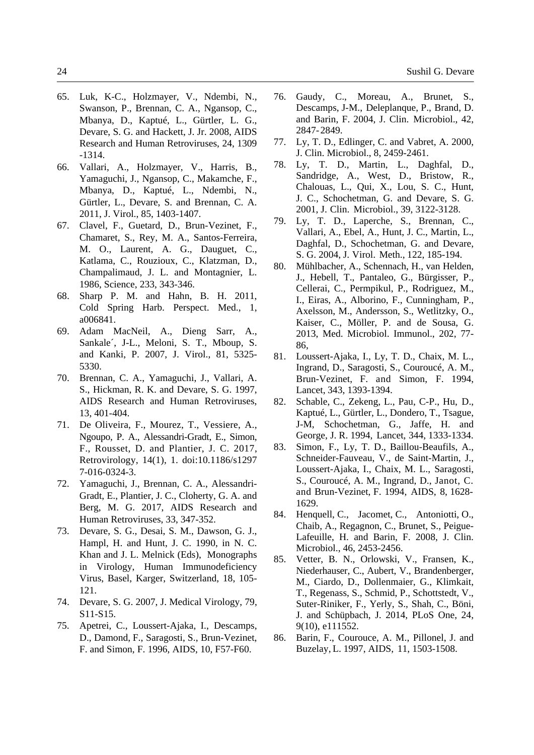- 65. Luk, K-C., Holzmayer, V., Ndembi, N., Swanson, P., Brennan, C. A., Ngansop, C., Mbanya, D., Kaptué, L., Gürtler, L. G., Devare, S. G. and Hackett, J. Jr. 2008, AIDS Research and Human Retroviruses, 24, 1309 -1314.
- 66. Vallari, A., Holzmayer, V., Harris, B., Yamaguchi, J., Ngansop, C., Makamche, F., Mbanya, D., Kaptué, L., Ndembi, N., Gürtler, L., Devare, S. and Brennan, C. A. 2011, J. Virol., 85, 1403-1407.
- 67. Clavel, F., Guetard, D., Brun-Vezinet, F., Chamaret, S., Rey, M. A., Santos-Ferreira, M. O., Laurent, A. G., Dauguet, C., Katlama, C., Rouzioux, C., Klatzman, D., Champalimaud, J. L. and Montagnier, L. 1986, Science, 233, 343-346.
- 68. Sharp P. M. and Hahn, B. H. 2011, Cold Spring Harb. Perspect. Med., 1, a006841.
- 69. Adam MacNeil, A., Dieng Sarr, A., Sankale´, J-L., Meloni, S. T., Mboup, S. and Kanki, P. 2007, J. Virol., 81, 5325- 5330.
- 70. Brennan, C. A., Yamaguchi, J., Vallari, A. S., Hickman, R. K. and Devare, S. G. 1997, AIDS Research and Human Retroviruses, 13, 401-404.
- 71. De Oliveira, F., Mourez, T., Vessiere, A., Ngoupo, P. A., Alessandri-Gradt, E., Simon, F., Rousset, D. and Plantier, J. C. 2017, Retrovirology, 14(1), 1. doi:10.1186/s1297 7-016-0324-3.
- 72. Yamaguchi, J., Brennan, C. A., Alessandri-Gradt, E., Plantier, J. C., Cloherty, G. A. and Berg, M. G. 2017, AIDS Research and Human Retroviruses, 33, 347-352.
- 73. Devare, S. G., Desai, S. M., Dawson, G. J., Hampl, H. and Hunt, J. C. 1990, in N. C. Khan and J. L. Melnick (Eds), Monographs in Virology, Human Immunodeficiency Virus, Basel, Karger, Switzerland, 18, 105- 121.
- 74. Devare, S. G. 2007, J. Medical Virology, 79, S11-S15.
- 75. Apetrei, C., Loussert-Ajaka, I., Descamps, D., Damond, F., Saragosti, S., Brun-Vezinet, F. and Simon, F. 1996, AIDS, 10, F57-F60.
- 76. Gaudy, C., Moreau, A., Brunet, S., Descamps, J-M., Deleplanque, P., Brand, D. and Barin, F. 2004, J. Clin. Microbiol., 42, 2847- 2849.
- 77. Ly, T. D., Edlinger, C. and Vabret, A. 2000, J. Clin. Microbiol., 8, 2459-2461.
- 78. Ly, T. D., Martin, L., Daghfal, D., Sandridge, A., West, D., Bristow, R., Chalouas, L., Qui, X., Lou, S. C., Hunt, J. C., Schochetman, G. and Devare, S. G. 2001, J. Clin. Microbiol., 39, 3122-3128.
- 79. Ly, T. D., Laperche, S., Brennan, C., Vallari, A., Ebel, A., Hunt, J. C., Martin, L., Daghfal, D., Schochetman, G. and Devare, S. G. 2004, J. Virol. Meth., 122, 185-194.
- 80. Mühlbacher, A., Schennach, H., van Helden, J., Hebell, T., Pantaleo, G., Bürgisser, P., Cellerai, C., Permpikul, P., Rodriguez, M., I., Eiras, A., Alborino, F., Cunningham, P., Axelsson, M., Andersson, S., Wetlitzky, O., Kaiser, C., Möller, P. and de Sousa, G. 2013, Med. Microbiol. Immunol., 202, 77- 86,
- 81. Loussert-Ajaka, I., Ly, T. D., Chaix, M. L., Ingrand, D., Saragosti, S., Couroucé, A. M., Brun-Vezinet, F. and Simon, F. 1994, Lancet, 343, 1393-1394.
- 82. Schable, C., Zekeng, L., Pau, C-P., Hu, D., Kaptué, L., Gürtler, L., Dondero, T., Tsague, J-M, Schochetman, G., Jaffe, H. and George, J. R. 1994, Lancet, 344, 1333-1334.
- 83. Simon, F., Ly, T. D., Baillou-Beaufils, A., Schneider-Fauveau, V., de Saint-Martin, J., Loussert-Ajaka, I., Chaix, M. L., Saragosti, S., Couroucé, A. M., Ingrand, D., Janot, C. and Brun-Vezinet, F. 1994, AIDS, 8, 1628- 1629.
- 84. Henquell, C., Jacomet, C., Antoniotti, O., Chaib, A., Regagnon, C., Brunet, S., Peigue-Lafeuille, H. and Barin, F. 2008, J. Clin. Microbiol., 46, 2453-2456.
- 85. Vetter, B. N., Orlowski, V., Fransen, K., Niederhauser, C., Aubert, V., Brandenberger, M., Ciardo, D., Dollenmaier, G., Klimkait, T., Regenass, S., Schmid, P., Schottstedt, V., Suter-Riniker, F., Yerly, S., Shah, C., Böni, J. and Schüpbach, J. 2014, PLoS One, 24, 9(10), e111552.
- 86. Barin, F., Courouce, A. M., Pillonel, J. and Buzelay, L. 1997, AIDS, 11, 1503-1508.